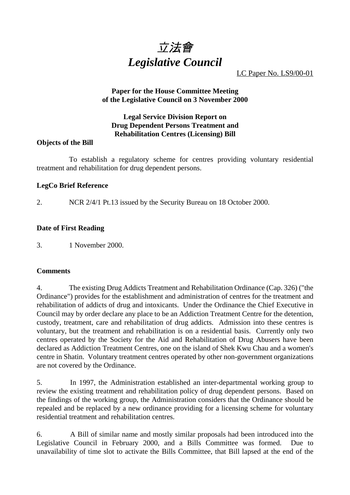

LC Paper No. LS9/00-01

# **Paper for the House Committee Meeting of the Legislative Council on 3 November 2000**

## **Legal Service Division Report on Drug Dependent Persons Treatment and Rehabilitation Centres (Licensing) Bill**

# **Objects of the Bill**

To establish a regulatory scheme for centres providing voluntary residential treatment and rehabilitation for drug dependent persons.

# **LegCo Brief Reference**

2. NCR 2/4/1 Pt.13 issued by the Security Bureau on 18 October 2000.

# **Date of First Reading**

3. 1 November 2000.

## **Comments**

4. The existing Drug Addicts Treatment and Rehabilitation Ordinance (Cap. 326) ("the Ordinance") provides for the establishment and administration of centres for the treatment and rehabilitation of addicts of drug and intoxicants. Under the Ordinance the Chief Executive in Council may by order declare any place to be an Addiction Treatment Centre for the detention, custody, treatment, care and rehabilitation of drug addicts. Admission into these centres is voluntary, but the treatment and rehabilitation is on a residential basis. Currently only two centres operated by the Society for the Aid and Rehabilitation of Drug Abusers have been declared as Addiction Treatment Centres, one on the island of Shek Kwu Chau and a women's centre in Shatin. Voluntary treatment centres operated by other non-government organizations are not covered by the Ordinance.

5. In 1997, the Administration established an inter-departmental working group to review the existing treatment and rehabilitation policy of drug dependent persons. Based on the findings of the working group, the Administration considers that the Ordinance should be repealed and be replaced by a new ordinance providing for a licensing scheme for voluntary residential treatment and rehabilitation centres.

6. A Bill of similar name and mostly similar proposals had been introduced into the Legislative Council in February 2000, and a Bills Committee was formed. Due to unavailability of time slot to activate the Bills Committee, that Bill lapsed at the end of the